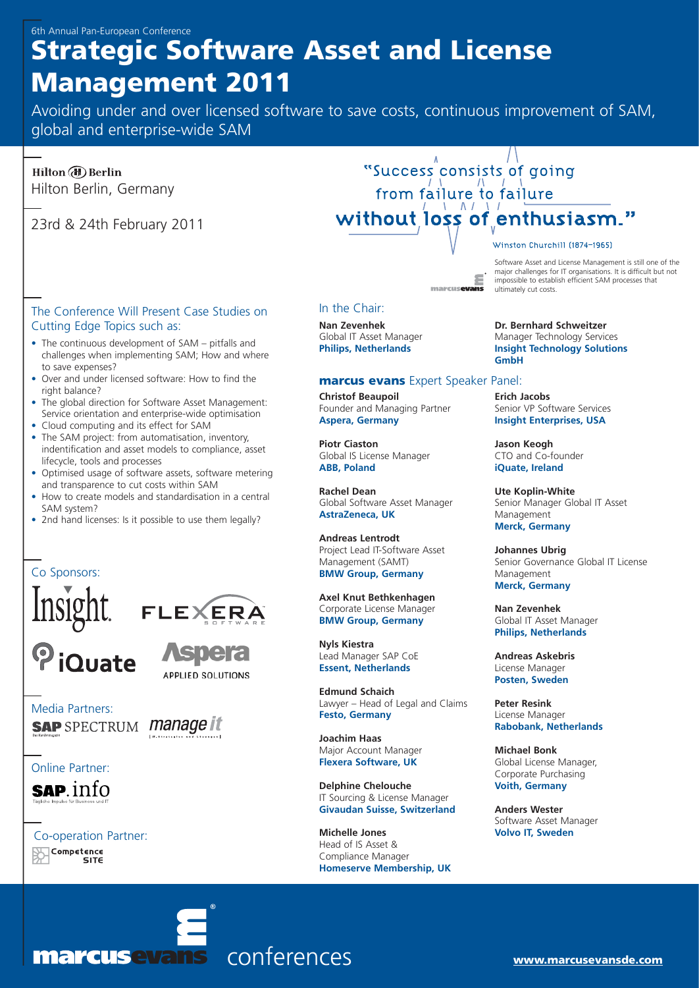# **Strategic Software Asset and License Management 2011**

Avoiding under and over licensed software to save costs, continuous improvement of SAM, global and enterprise-wide SAM

Hilton (b) Berlin Hilton Berlin, Germany

23rd & 24th February 2011

### The Conference Will Present Case Studies on Cutting Edge Topics such as:

- The continuous development of SAM pitfalls and challenges when implementing SAM; How and where to save expenses?
- Over and under licensed software: How to find the right balance?
- The global direction for Software Asset Management: Service orientation and enterprise-wide optimisation
- Cloud computing and its effect for SAM
- The SAM project: from automatisation, inventory, indentification and asset models to compliance, asset lifecycle, tools and processes
- Optimised usage of software assets, software metering and transparence to cut costs within SAM
- How to create models and standardisation in a central SAM system?
- 2nd hand licenses: Is it possible to use them legally?

## Co Sponsors:





Media Partners: **SAP** SPECTRUM *manage* it

Online Partner:

**SAP.** info

Co-operation Partner: Competence SITE



# "Success consists of going from failure to failure without loss of enthusiasm."

marcus**ovans** 

#### Software Asset and License Management is still one of the major challenges for IT organisations. It is difficult but not

Winston Churchill (1874-1965)

impossible to establish efficient SAM processes that ultimately cut costs.

In the Chair:

**Nan Zevenhek** Global IT Asset Manager **Philips, Netherlands**

#### **marcus evans** Expert Speaker Panel:

**Christof Beaupoil** Founder and Managing Partner **Aspera, Germany**

**Piotr Ciaston** Global IS License Manager **ABB, Poland**

**Rachel Dean** Global Software Asset Manager **AstraZeneca, UK**

**Andreas Lentrodt** Project Lead IT-Software Asset Management (SAMT) **BMW Group, Germany**

**Axel Knut Bethkenhagen** Corporate License Manager **BMW Group, Germany**

**Nyls Kiestra** Lead Manager SAP CoE **Essent, Netherlands**

**Edmund Schaich** Lawyer – Head of Legal and Claims **Festo, Germany**

**Joachim Haas** Major Account Manager **Flexera Software, UK**

**Delphine Chelouche** IT Sourcing & License Manager **Givaudan Suisse, Switzerland**

**Michelle Jones** Head of IS Asset & Compliance Manager **Homeserve Membership, UK** **Dr. Bernhard Schweitzer** Manager Technology Services **Insight Technology Solutions GmbH**

**Erich Jacobs** Senior VP Software Services **Insight Enterprises, USA**

**Jason Keogh** CTO and Co-founder **iQuate, Ireland**

**Ute Koplin-White** Senior Manager Global IT Asset Management **Merck, Germany**

**Johannes Ubrig** Senior Governance Global IT License Management **Merck, Germany**

**Nan Zevenhek** Global IT Asset Manager **Philips, Netherlands**

**Andreas Askebris** License Manager **Posten, Sweden**

**Peter Resink** License Manager **Rabobank, Netherlands**

**Michael Bonk** Global License Manager, Corporate Purchasing **Voith, Germany**

**Anders Wester** Software Asset Manager **Volvo IT, Sweden**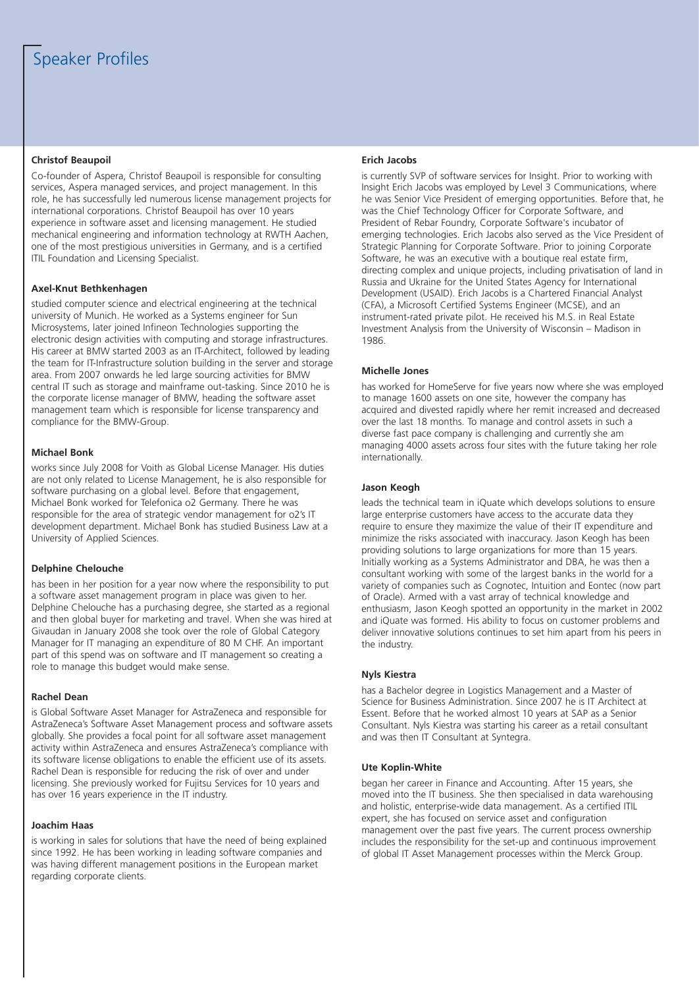#### **Christof Beaupoil**

Co-founder of Aspera, Christof Beaupoil is responsible for consulting services, Aspera managed services, and project management. In this role, he has successfully led numerous license management projects for international corporations. Christof Beaupoil has over 10 years experience in software asset and licensing management. He studied mechanical engineering and information technology at RWTH Aachen, one of the most prestigious universities in Germany, and is a certified ITIL Foundation and Licensing Specialist.

#### **Axel-Knut Bethkenhagen**

studied computer science and electrical engineering at the technical university of Munich. He worked as a Systems engineer for Sun Microsystems, later joined Infineon Technologies supporting the electronic design activities with computing and storage infrastructures. His career at BMW started 2003 as an IT-Architect, followed by leading the team for IT-Infrastructure solution building in the server and storage area. From 2007 onwards he led large sourcing activities for BMW central IT such as storage and mainframe out-tasking. Since 2010 he is the corporate license manager of BMW, heading the software asset management team which is responsible for license transparency and compliance for the BMW-Group.

#### **Michael Bonk**

works since July 2008 for Voith as Global License Manager. His duties are not only related to License Management, he is also responsible for software purchasing on a global level. Before that engagement, Michael Bonk worked for Telefonica o2 Germany. There he was responsible for the area of strategic vendor management for o2's IT development department. Michael Bonk has studied Business Law at a University of Applied Sciences.

#### **Delphine Chelouche**

has been in her position for a year now where the responsibility to put a software asset management program in place was given to her. Delphine Chelouche has a purchasing degree, she started as a regional and then global buyer for marketing and travel. When she was hired at Givaudan in January 2008 she took over the role of Global Category Manager for IT managing an expenditure of 80 M CHF. An important part of this spend was on software and IT management so creating a role to manage this budget would make sense.

#### **Rachel Dean**

is Global Software Asset Manager for AstraZeneca and responsible for AstraZeneca's Software Asset Management process and software assets globally. She provides a focal point for all software asset management activity within AstraZeneca and ensures AstraZeneca's compliance with its software license obligations to enable the efficient use of its assets. Rachel Dean is responsible for reducing the risk of over and under licensing. She previously worked for Fujitsu Services for 10 years and has over 16 years experience in the IT industry.

#### **Joachim Haas**

is working in sales for solutions that have the need of being explained since 1992. He has been working in leading software companies and was having different management positions in the European market regarding corporate clients.

#### **Erich Jacobs**

is currently SVP of software services for Insight. Prior to working with Insight Erich Jacobs was employed by Level 3 Communications, where he was Senior Vice President of emerging opportunities. Before that, he was the Chief Technology Officer for Corporate Software, and President of Rebar Foundry, Corporate Software's incubator of emerging technologies. Erich Jacobs also served as the Vice President of Strategic Planning for Corporate Software. Prior to joining Corporate Software, he was an executive with a boutique real estate firm, directing complex and unique projects, including privatisation of land in Russia and Ukraine for the United States Agency for International Development (USAID). Erich Jacobs is a Chartered Financial Analyst (CFA), a Microsoft Certified Systems Engineer (MCSE), and an instrument-rated private pilot. He received his M.S. in Real Estate Investment Analysis from the University of Wisconsin – Madison in 1986.

#### **Michelle Jones**

has worked for HomeServe for five years now where she was employed to manage 1600 assets on one site, however the company has acquired and divested rapidly where her remit increased and decreased over the last 18 months. To manage and control assets in such a diverse fast pace company is challenging and currently she am managing 4000 assets across four sites with the future taking her role internationally.

#### **Jason Keogh**

leads the technical team in iQuate which develops solutions to ensure large enterprise customers have access to the accurate data they require to ensure they maximize the value of their IT expenditure and minimize the risks associated with inaccuracy. Jason Keogh has been providing solutions to large organizations for more than 15 years. Initially working as a Systems Administrator and DBA, he was then a consultant working with some of the largest banks in the world for a variety of companies such as Cognotec, Intuition and Eontec (now part of Oracle). Armed with a vast array of technical knowledge and enthusiasm, Jason Keogh spotted an opportunity in the market in 2002 and iQuate was formed. His ability to focus on customer problems and deliver innovative solutions continues to set him apart from his peers in the industry.

#### **Nyls Kiestra**

has a Bachelor degree in Logistics Management and a Master of Science for Business Administration. Since 2007 he is IT Architect at Essent. Before that he worked almost 10 years at SAP as a Senior Consultant. Nyls Kiestra was starting his career as a retail consultant and was then IT Consultant at Syntegra.

#### **Ute Koplin-White**

began her career in Finance and Accounting. After 15 years, she moved into the IT business. She then specialised in data warehousing and holistic, enterprise-wide data management. As a certified ITIL expert, she has focused on service asset and configuration management over the past five years. The current process ownership includes the responsibility for the set-up and continuous improvement of global IT Asset Management processes within the Merck Group.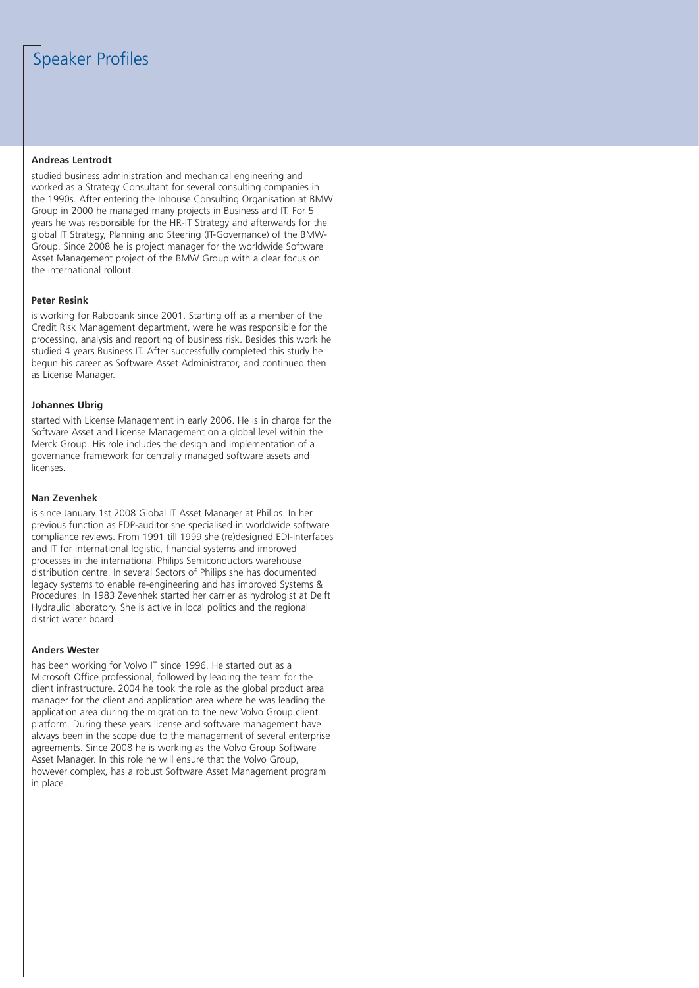## Speaker Profiles

#### **Andreas Lentrodt**

studied business administration and mechanical engineering and worked as a Strategy Consultant for several consulting companies in the 1990s. After entering the Inhouse Consulting Organisation at BMW Group in 2000 he managed many projects in Business and IT. For 5 years he was responsible for the HR-IT Strategy and afterwards for the global IT Strategy, Planning and Steering (IT-Governance) of the BMW-Group. Since 2008 he is project manager for the worldwide Software Asset Management project of the BMW Group with a clear focus on the international rollout.

#### **Peter Resink**

is working for Rabobank since 2001. Starting off as a member of the Credit Risk Management department, were he was responsible for the processing, analysis and reporting of business risk. Besides this work he studied 4 years Business IT. After successfully completed this study he begun his career as Software Asset Administrator, and continued then as License Manager.

#### **Johannes Ubrig**

started with License Management in early 2006. He is in charge for the Software Asset and License Management on a global level within the Merck Group. His role includes the design and implementation of a governance framework for centrally managed software assets and licenses.

#### **Nan Zevenhek**

is since January 1st 2008 Global IT Asset Manager at Philips. In her previous function as EDP-auditor she specialised in worldwide software compliance reviews. From 1991 till 1999 she (re)designed EDI-interfaces and IT for international logistic, financial systems and improved processes in the international Philips Semiconductors warehouse distribution centre. In several Sectors of Philips she has documented legacy systems to enable re-engineering and has improved Systems & Procedures. In 1983 Zevenhek started her carrier as hydrologist at Delft Hydraulic laboratory. She is active in local politics and the regional district water board.

#### **Anders Wester**

has been working for Volvo IT since 1996. He started out as a Microsoft Office professional, followed by leading the team for the client infrastructure. 2004 he took the role as the global product area manager for the client and application area where he was leading the application area during the migration to the new Volvo Group client platform. During these years license and software management have always been in the scope due to the management of several enterprise agreements. Since 2008 he is working as the Volvo Group Software Asset Manager. In this role he will ensure that the Volvo Group, however complex, has a robust Software Asset Management program in place.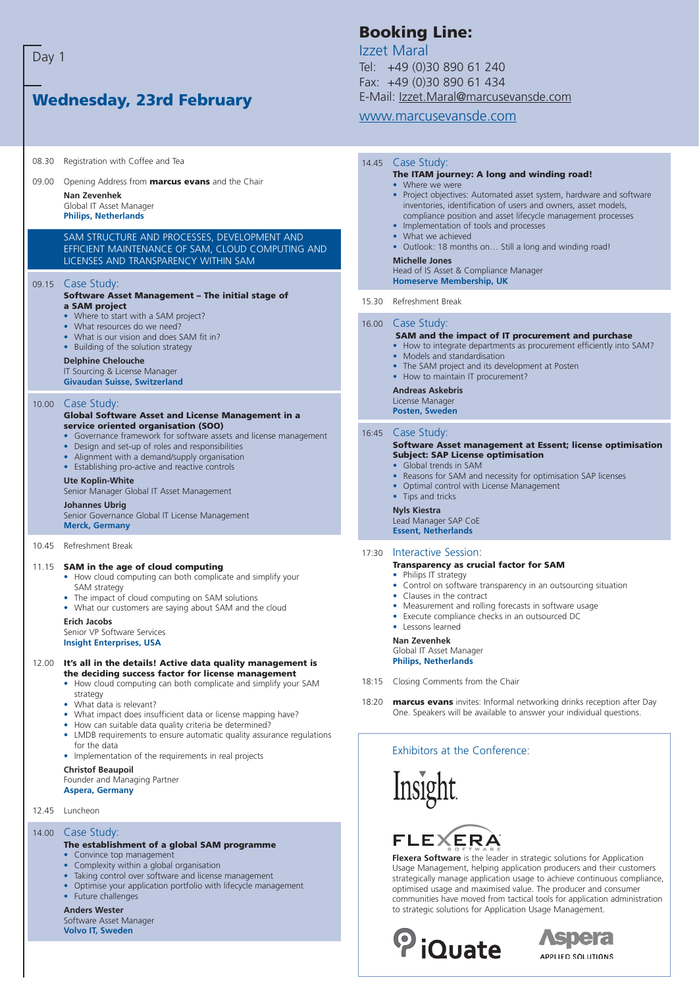Day 1

## **Wednesday, 23rd February**

08.30 Registration with Coffee and Tea

09.00 Opening Address from **marcus evans** and the Chair **Nan Zevenhek** Global IT Asset Manager

#### **Philips, Netherlands**

SAM STRUCTURE AND PROCESSES, DEVELOPMENT AND EFFICIENT MAINTENANCE OF SAM, CLOUD COMPUTING AND LICENSES AND TRANSPARENCY WITHIN SAM

#### 09.15 Case Study:

#### **Software Asset Management – The initial stage of a SAM project**

- Where to start with a SAM project?
- What resources do we need?
- What is our vision and does SAM fit in?
- Building of the solution strategy

#### **Delphine Chelouche**

IT Sourcing & License Manager **Givaudan Suisse, Switzerland**

#### 10.00 Case Study:

#### **Global Software Asset and License Management in a service oriented organisation (SOO)**

- Governance framework for software assets and license management
- Design and set-up of roles and responsibilities
- Alignment with a demand/supply organisation
- Establishing pro-active and reactive controls

#### **Ute Koplin-White**

Senior Manager Global IT Asset Management

#### **Johannes Ubrig**

Senior Governance Global IT License Management **Merck, Germany**

10.45 Refreshment Break

#### 11.15 **SAM in the age of cloud computing**

- How cloud computing can both complicate and simplify your SAM strategy
- The impact of cloud computing on SAM solutions
- What our customers are saying about SAM and the cloud

#### **Erich Jacobs**

Senior VP Software Services **Insight Enterprises, USA**

#### 12.00 **It's all in the details! Active data quality management is the deciding success factor for license management**

- How cloud computing can both complicate and simplify your SAM strategy
- What data is relevant?
- What impact does insufficient data or license mapping have?
- How can suitable data quality criteria be determined?
- LMDB requirements to ensure automatic quality assurance regulations for the data
- Implementation of the requirements in real projects

#### **Christof Beaupoil**

Founder and Managing Partner

**Aspera, Germany**

12.45 Luncheon

#### 14.00 Case Study:

#### **The establishment of a global SAM programme**

- Convince top management • Complexity within a global organisation
- Taking control over software and license management
- Optimise your application portfolio with lifecycle management
- Future challenges

#### **Anders Wester**

Software Asset Manager **Volvo IT, Sweden**

## **Booking Line:**

Izzet Maral Tel: +49 (0)30 890 61 240 Fax: +49 (0)30 890 61 434 E-Mail: Izzet.Maral@marcusevansde.com

#### www.marcusevansde.com

#### 14.45 Case Study: **The ITAM journey: A long and winding road!** • Where we were • Project objectives: Automated asset system, hardware and software inventories, identification of users and owners, asset models, compliance position and asset lifecycle management processes • Implementation of tools and processes • What we achieved • Outlook: 18 months on… Still a long and winding road! **Michelle Jones** Head of IS Asset & Compliance Manager **Homeserve Membership, UK** 15.30 Refreshment Break 16.00 Case Study: **SAM and the impact of IT procurement and purchase** • How to integrate departments as procurement efficiently into SAM? • Models and standardisation • The SAM project and its development at Posten • How to maintain IT procurement? **Andreas Askebris** License Manager **Posten, Sweden**  16:45 Case Study: **Software Asset management at Essent; license optimisation Subject: SAP License optimisation** • Global trends in SAM • Reasons for SAM and necessity for optimisation SAP licenses • Optimal control with License Management • Tips and tricks **Nyls Kiestra** Lead Manager SAP CoE **Essent, Netherlands** 17:30 Interactive Session: **Transparency as crucial factor for SAM**

- Philips IT strategy
- Control on software transparency in an outsourcing situation
- Clauses in the contract
- Measurement and rolling forecasts in software usage
- Execute compliance checks in an outsourced DC
- Lessons learned

#### **Nan Zevenhek**

Global IT Asset Manager **Philips, Netherlands**

- 18:15 Closing Comments from the Chair
- 18:20 **marcus evans** invites: Informal networking drinks reception after Day One. Speakers will be available to answer your individual questions.

#### Exhibitors at the Conference:

Insight

# **FLEXERA**

**Flexera Software** is the leader in strategic solutions for Application Usage Management, helping application producers and their customers strategically manage application usage to achieve continuous compliance, optimised usage and maximised value. The producer and consumer communities have moved from tactical tools for application administration to strategic solutions for Application Usage Management.



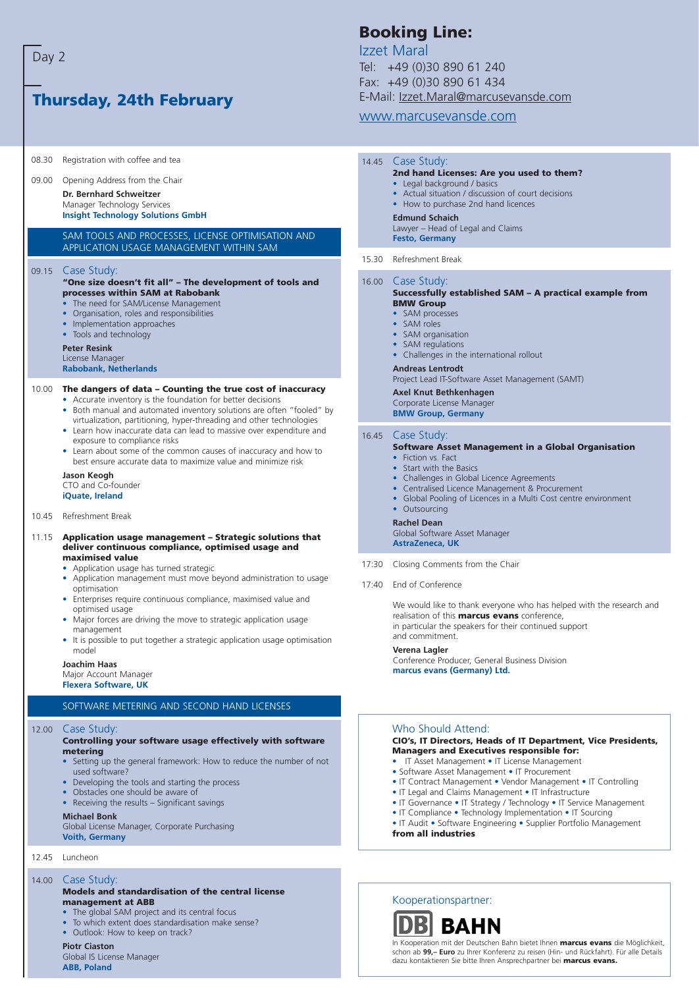### **Thursday, 24th February** 08.30 Registration with coffee and tea 09.00 Opening Address from the Chair **Dr. Bernhard Schweitzer** Manager Technology Services **Insight Technology Solutions GmbH** SAM TOOLS AND PROCESSES, LICENSE OPTIMISATION AND APPLICATION USAGE MANAGEMENT WITHIN SAM 09.15 Case Study: **"One size doesn't fit all" – The development of tools and processes within SAM at Rabobank** • The need for SAM/License Management • Organisation, roles and responsibilities • Implementation approaches • Tools and technology **Peter Resink** License Manager **Rabobank, Netherlands** 10.00 **The dangers of data – Counting the true cost of inaccuracy** • Accurate inventory is the foundation for better decisions • Both manual and automated inventory solutions are often "fooled" by virtualization, partitioning, hyper-threading and other technologies • Learn how inaccurate data can lead to massive over expenditure and exposure to compliance risks • Learn about some of the common causes of inaccuracy and how to best ensure accurate data to maximize value and minimize risk **Jason Keogh** CTO and Co-founder **iQuate, Ireland** 10.45 Refreshment Break 11.15 **Application usage management – Strategic solutions that deliver continuous compliance, optimised usage and maximised value** • Application usage has turned strategic • Application management must move beyond administration to usage optimisation • Enterprises require continuous compliance, maximised value and optimised usage • Major forces are driving the move to strategic application usage

- management
- It is possible to put together a strategic application usage optimisation model

#### **Joachim Haas**

Major Account Manager **Flexera Software, UK**

#### SOFTWARE METERING AND SECOND HAND LICENSES

#### 12.00 Case Study:

#### **Controlling your software usage effectively with software metering**

- Setting up the general framework: How to reduce the number of not used software?
- Developing the tools and starting the process
- Obstacles one should be aware of
- Receiving the results Significant savings

#### **Michael Bonk**

Global License Manager, Corporate Purchasing **Voith, Germany**

12.45 Luncheon

#### 14.00 Case Study:

#### **Models and standardisation of the central license management at ABB**

- The global SAM project and its central focus
- To which extent does standardisation make sense?
- Outlook: How to keep on track?
- **Piotr Ciaston**

Global IS License Manager **ABB, Poland**

## **Booking Line:**

Izzet Maral Tel: +49 (0)30 890 61 240 Fax: +49 (0)30 890 61 434 E-Mail: Izzet.Maral@marcusevansde.com

### www.marcusevansde.com

#### 14.45 Case Study: **2nd hand Licenses: Are you used to them?** • Legal background / basics

- Actual situation / discussion of court decisions
- How to purchase 2nd hand licences

#### **Edmund Schaich**

- Lawyer Head of Legal and Claims
- **Festo, Germany**
- 15.30 Refreshment Break

#### 16.00 Case Study:

#### **Successfully established SAM – A practical example from BMW Group**

- SAM processes
- SAM roles
- SAM organisation
- SAM regulations
- Challenges in the international rollout
- **Andreas Lentrodt**

Project Lead IT-Software Asset Management (SAMT)

#### **Axel Knut Bethkenhagen**

Corporate License Manager

**BMW Group, Germany**

#### 16.45 Case Study:

#### **Software Asset Management in a Global Organisation**

- Fiction vs. Fact
- Start with the Basics
- Challenges in Global Licence Agreements
- Centralised Licence Management & Procurement
- Global Pooling of Licences in a Multi Cost centre environment

Global Software Asset Manager

**AstraZeneca, UK**

- 17:30 Closing Comments from the Chair
- 17:40 End of Conference

We would like to thank everyone who has helped with the research and realisation of this **marcus evans** conference, in particular the speakers for their continued support and commitment.

#### **Verena Lagler**

Conference Producer, General Business Division **marcus evans (Germany) Ltd.**

#### Who Should Attend:

#### **CIO's, IT Directors, Heads of IT Department, Vice Presidents, Managers and Executives responsible for:**

- IT Asset Management IT License Management
- Software Asset Management IT Procurement
- IT Contract Management Vendor Management IT Controlling
- IT Legal and Claims Management IT Infrastructure
- IT Governance IT Strategy / Technology IT Service Management
- IT Compliance Technology Implementation IT Sourcing

• IT Audit • Software Engineering • Supplier Portfolio Management **from all industries**

Kooperationspartner:



In Kooperation mit der Deutschen Bahn bietet Ihnen **marcus evans** die Möglichkeit, schon ab **99,– Euro** zu Ihrer Konferenz zu reisen (Hin- und Rückfahrt). Für alle Details dazu kontaktieren Sie bitte Ihren Ansprechpartner bei **marcus evans.**

# • Outsourcing **Rachel Dean**